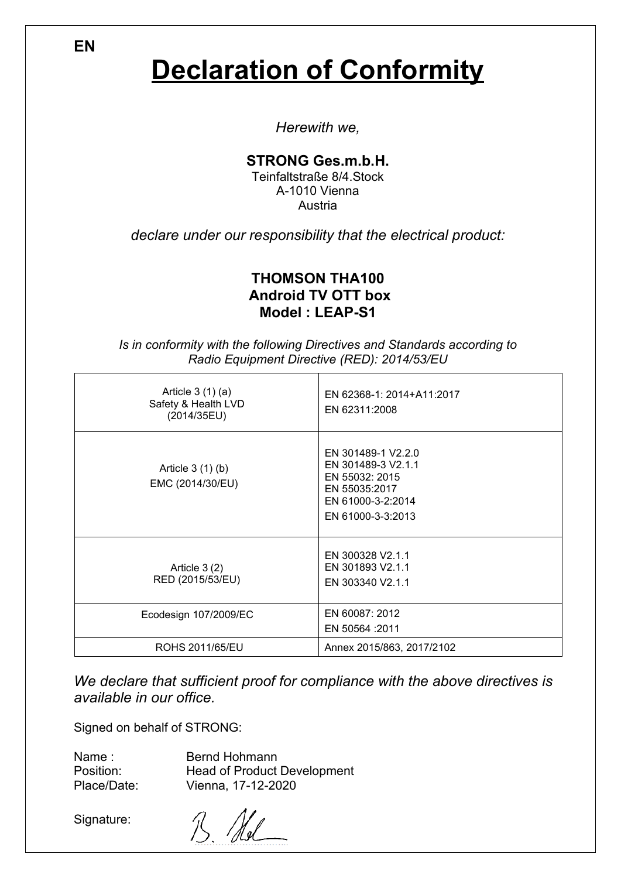**Declaration of Conformity**

*Herewith we,*

#### **STRONG Ges.m.b.H.**

Teinfaltstraße 8/4.Stock A-1010 Vienna Austria

*declare under our responsibility that the electrical product:*

### **THOMSON THA100 Android TV OTT box Model : LEAP-S1**

*Is in conformity with the following Directives and Standards according to Radio Equipment Directive (RED): 2014/53/EU*

| Article $3(1)(a)$<br>Safety & Health LVD<br>(2014/35EU) | EN 62368-1: 2014+A11:2017<br>EN 62311:2008                                                                            |
|---------------------------------------------------------|-----------------------------------------------------------------------------------------------------------------------|
| Article $3(1)(b)$<br>EMC (2014/30/EU)                   | EN 301489-1 V2.2.0<br>EN 301489-3 V2.1.1<br>EN 55032: 2015<br>EN 55035:2017<br>EN 61000-3-2:2014<br>EN 61000-3-3:2013 |
| Article $3(2)$<br>RED (2015/53/EU)                      | EN 300328 V2.1.1<br>EN 301893 V2.1.1<br>EN 303340 V2.1.1                                                              |
| Ecodesign 107/2009/EC                                   | EN 60087: 2012<br>EN 50564 :2011                                                                                      |
| ROHS 2011/65/EU                                         | Annex 2015/863, 2017/2102                                                                                             |

*We declare that sufficient proof for compliance with the above directives is available in our office.*

Signed on behalf of STRONG:

| Name:       | <b>Bernd Hohmann</b>               |
|-------------|------------------------------------|
| Position:   | <b>Head of Product Development</b> |
| Place/Date: | Vienna, 17-12-2020                 |

Signature:

B Ad

**EN**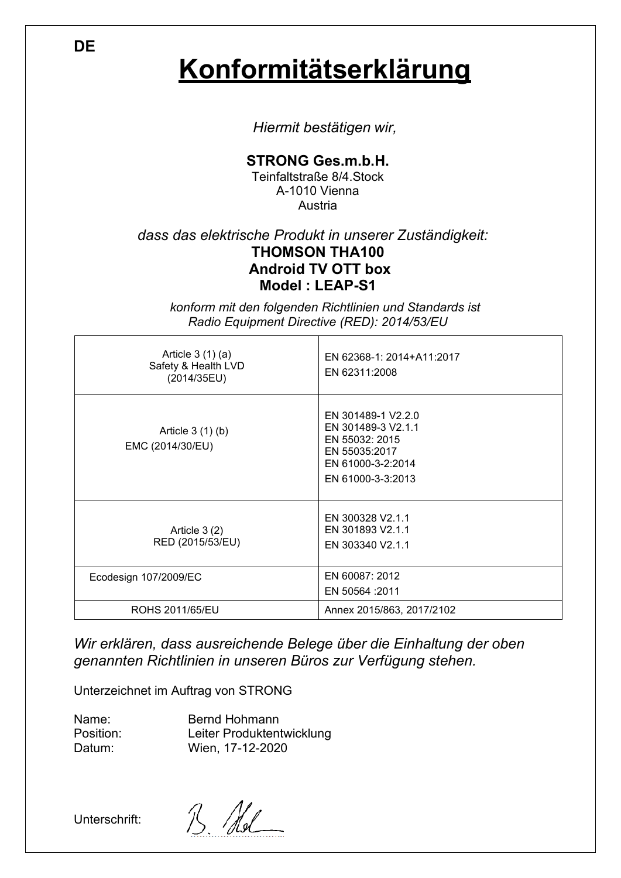**Konformitätserklärung**

*Hiermit bestätigen wir,*

### **STRONG Ges.m.b.H.**

Teinfaltstraße 8/4.Stock A-1010 Vienna Austria

### *dass das elektrische Produkt in unserer Zuständigkeit:* **THOMSON THA100 Android TV OTT box Model : LEAP-S1**

*konform mit den folgenden Richtlinien und Standards ist Radio Equipment Directive (RED): 2014/53/EU*

| Article $3(1)(a)$<br>Safety & Health LVD<br>(2014/35EU) | EN 62368-1: 2014+A11:2017<br>EN 62311:2008                                                                            |
|---------------------------------------------------------|-----------------------------------------------------------------------------------------------------------------------|
| Article $3(1)(b)$<br>EMC (2014/30/EU)                   | EN 301489-1 V2.2.0<br>EN 301489-3 V2.1.1<br>EN 55032: 2015<br>EN 55035:2017<br>EN 61000-3-2:2014<br>EN 61000-3-3:2013 |
| Article $3(2)$<br>RED (2015/53/EU)                      | EN 300328 V2.1.1<br>EN 301893 V2.1.1<br>EN 303340 V2.1.1                                                              |
| Ecodesign 107/2009/EC                                   | EN 60087: 2012<br>EN 50564 : 2011                                                                                     |
| ROHS 2011/65/EU                                         | Annex 2015/863, 2017/2102                                                                                             |

*Wir erklären, dass ausreichende Belege über die Einhaltung der oben genannten Richtlinien in unseren Büros zur Verfügung stehen.*

Unterzeichnet im Auftrag von STRONG

Name: Position: Datum:

Bernd Hohmann Leiter Produktentwicklung Wien, 17-12-2020

Unterschrift:

B Nol

**DE**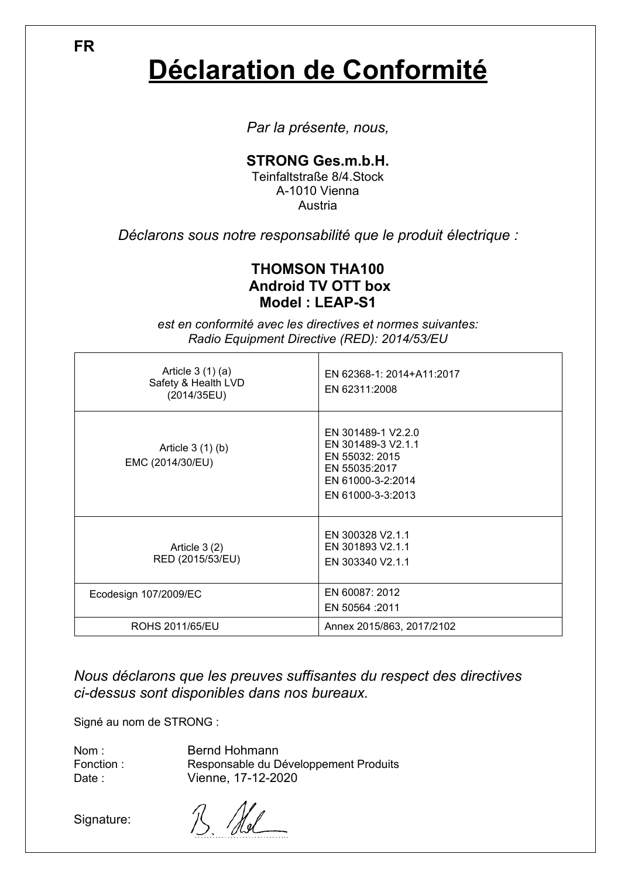**FR**

# **Déclaration de Conformité**

*Par la présente, nous,*

### **STRONG Ges.m.b.H.**

Teinfaltstraße 8/4.Stock A-1010 Vienna Austria

*Déclarons sous notre responsabilité que le produit électrique :*

### **THOMSON THA100 Android TV OTT box Model : LEAP-S1**

*est en conformité avec les directives et normes suivantes: Radio Equipment Directive (RED): 2014/53/EU*

| Article $3(1)(a)$<br>Safety & Health LVD<br>(2014/35EU) | EN 62368-1: 2014+A11:2017<br>EN 62311:2008                                                                            |
|---------------------------------------------------------|-----------------------------------------------------------------------------------------------------------------------|
| Article $3(1)(b)$<br>EMC (2014/30/EU)                   | EN 301489-1 V2.2.0<br>EN 301489-3 V2.1.1<br>EN 55032: 2015<br>EN 55035:2017<br>EN 61000-3-2:2014<br>EN 61000-3-3:2013 |
| Article $3(2)$<br>RED (2015/53/EU)                      | EN 300328 V2.1.1<br>EN 301893 V2.1.1<br>EN 303340 V2.1.1                                                              |
| Ecodesign 107/2009/EC                                   | EN 60087: 2012<br>EN 50564 : 2011                                                                                     |
| ROHS 2011/65/EU                                         | Annex 2015/863, 2017/2102                                                                                             |

*Nous déclarons que les preuves suffisantes du respect des directives ci-dessus sont disponibles dans nos bureaux.*

Signé au nom de STRONG :

Nom : Fonction : Date : Bernd Hohmann Responsable du Développement Produits Vienne, 17-12-2020

Signature: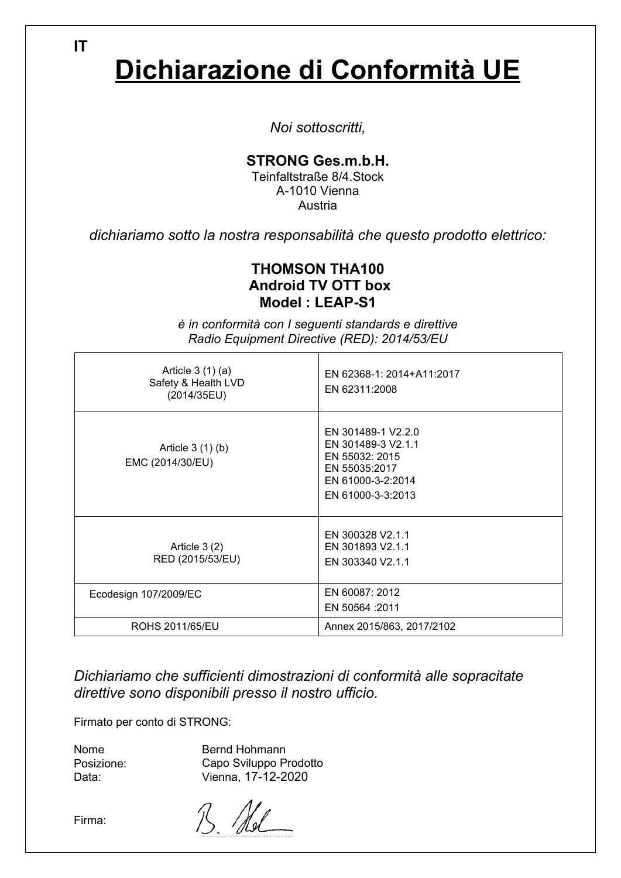**IT**

# **Dichiarazione di Conformità UE**

*Noi sottoscritti,*

### **STRONG Ges.m.b.H.**

Teinfaltstraße 8/4.Stock A-1010 Vienna Austria

*dichiariamo sotto la nostra responsabilità che questo prodotto elettrico:*

### **THOMSON THA100 Android TV OTT box Model : LEAP-S1**

Article 3 (1) (a) Safety & Health LVD (2014/35EU) EN 62368-1: 2014+A11:2017 EN 62311:2008 Article 3 (1) (b) EMC (2014/30/EU) EN 301489-1 V2.2.0 EN 301489-3 V2.1.1 EN 55032: 2015 EN 55035:2017 EN 61000-3-2:2014 EN 61000-3-3:2013 Article 3 (2) RED (2015/53/EU) EN 300328 V2.1.1 EN 301893 V2.1.1 EN 303340 V2.1.1 Ecodesign 107/2009/EC **EXA** EN 60087: 2012 EN 50564 :2011 ROHS 2011/65/EU Annex 2015/863, 2017/2102

*è in conformità con I seguenti standards e direttive Radio Equipment Directive (RED): 2014/53/EU*

*Dichiariamo che sufficienti dimostrazioni di conformità alle sopracitate direttive sono disponibili presso il nostro ufficio.*

Firmato per conto di STRONG:

Nome Posizione: Data:

Bernd Hohmann Capo Sviluppo Prodotto Vienna, 17-12-2020

Firma: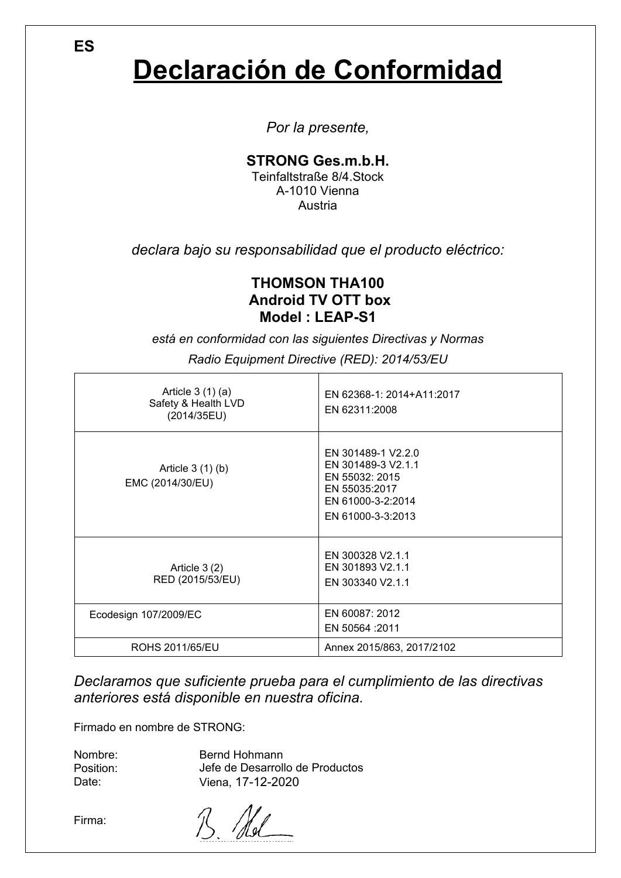# **Declaración de Conformidad**

*Por la presente,*

### **STRONG Ges.m.b.H.**

Teinfaltstraße 8/4.Stock A-1010 Vienna Austria

*declara bajo su responsabilidad que el producto eléctrico:*

### **THOMSON THA100 Android TV OTT box Model : LEAP-S1**

*está en conformidad con las siguientes Directivas y Normas*

| Article $3(1)(a)$<br>Safety & Health LVD<br>(2014/35EU) | EN 62368-1: 2014+A11:2017<br>EN 62311:2008                                                                            |
|---------------------------------------------------------|-----------------------------------------------------------------------------------------------------------------------|
| Article $3(1)(b)$<br>EMC (2014/30/EU)                   | EN 301489-1 V2.2.0<br>EN 301489-3 V2.1.1<br>EN 55032: 2015<br>EN 55035:2017<br>EN 61000-3-2:2014<br>EN 61000-3-3:2013 |
| Article $3(2)$<br>RED (2015/53/EU)                      | EN 300328 V2.1.1<br>EN 301893 V2.1.1<br>EN 303340 V2.1.1                                                              |
| Ecodesign 107/2009/EC                                   | EN 60087: 2012<br>EN 50564 : 2011                                                                                     |
| ROHS 2011/65/EU                                         | Annex 2015/863, 2017/2102                                                                                             |

*Radio Equipment Directive (RED): 2014/53/EU*

*Declaramos que suficiente prueba para el cumplimiento de las directivas anteriores está disponible en nuestra oficina.*

Firmado en nombre de STRONG:

| Nombre:   | Bernd Hohmann                   |
|-----------|---------------------------------|
| Position: | Jefe de Desarrollo de Productos |
| Date:     | Viena, 17-12-2020               |

Firma:

B Nel

**ES**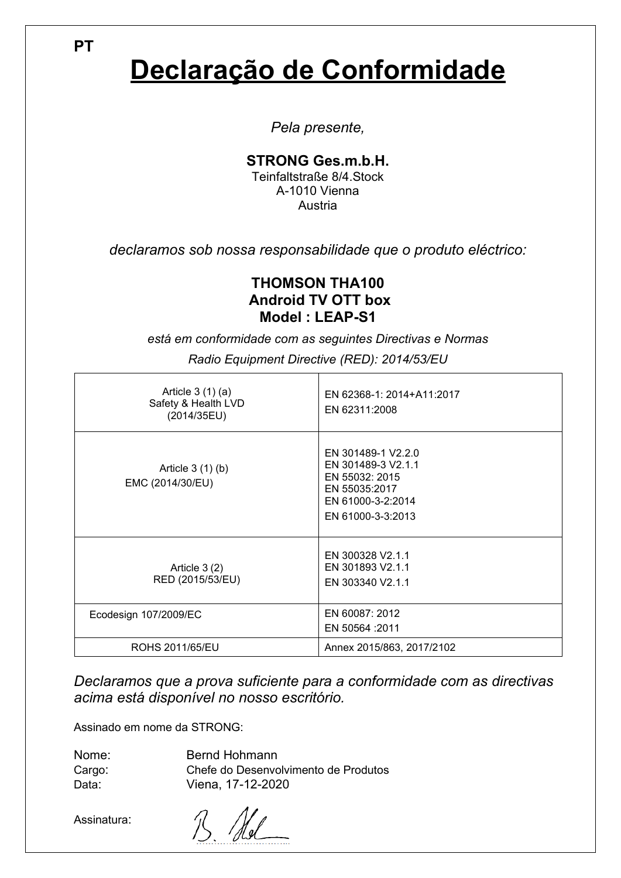# **Declaração de Conformidade**

*Pela presente,*

### **STRONG Ges.m.b.H.**

Teinfaltstraße 8/4.Stock A-1010 Vienna Austria

*declaramos sob nossa responsabilidade que o produto eléctrico:*

### **THOMSON THA100 Android TV OTT box Model : LEAP-S1**

*está em conformidade com as seguintes Directivas e Normas*

| Article $3(1)(a)$<br>Safety & Health LVD<br>(2014/35EU) | EN 62368-1: 2014+A11:2017<br>EN 62311:2008                                                                            |
|---------------------------------------------------------|-----------------------------------------------------------------------------------------------------------------------|
| Article $3(1)(b)$<br>EMC (2014/30/EU)                   | EN 301489-1 V2.2.0<br>EN 301489-3 V2.1.1<br>EN 55032: 2015<br>EN 55035:2017<br>EN 61000-3-2:2014<br>EN 61000-3-3:2013 |
| Article $3(2)$<br>RED (2015/53/EU)                      | EN 300328 V2.1.1<br>EN 301893 V2.1.1<br>EN 303340 V2.1.1                                                              |
| Ecodesign 107/2009/EC                                   | EN 60087: 2012<br>EN 50564 : 2011                                                                                     |
| ROHS 2011/65/EU                                         | Annex 2015/863, 2017/2102                                                                                             |

*Radio Equipment Directive (RED): 2014/53/EU*

*Declaramos que a prova suficiente para a conformidade com as directivas acima está disponível no nosso escritório.*

Assinado em nome da STRONG:

| Nome:  | Bernd Hohmann                        |
|--------|--------------------------------------|
| Cargo: | Chefe do Desenvolvimento de Produtos |
| Data:  | Viena, 17-12-2020                    |

Assinatura:

 $\mathcal{U}$ 巜

**PT**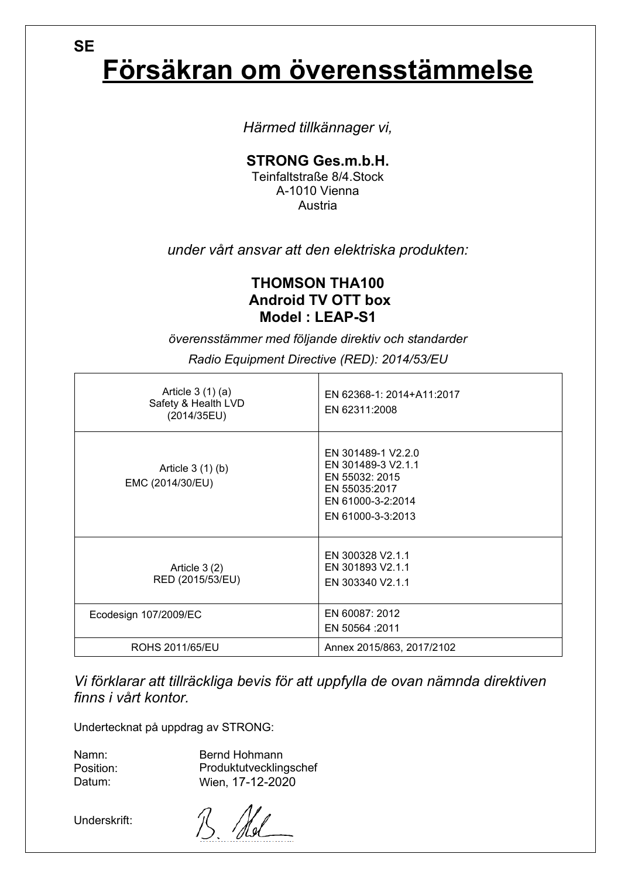# **Försäkran om överensstämmelse**

*Härmed tillkännager vi,*

**STRONG Ges.m.b.H.**

Teinfaltstraße 8/4.Stock A-1010 Vienna Austria

*under vårt ansvar att den elektriska produkten:*

### **THOMSON THA100 Android TV OTT box Model : LEAP-S1**

*överensstämmer med följande direktiv och standarder*

| Article $3(1)(a)$<br>Safety & Health LVD<br>(2014/35EU) | EN 62368-1: 2014+A11:2017<br>EN 62311:2008                                                                            |
|---------------------------------------------------------|-----------------------------------------------------------------------------------------------------------------------|
| Article $3(1)(b)$<br>EMC (2014/30/EU)                   | EN 301489-1 V2.2.0<br>EN 301489-3 V2.1.1<br>EN 55032: 2015<br>EN 55035:2017<br>EN 61000-3-2:2014<br>EN 61000-3-3:2013 |
| Article $3(2)$<br>RED (2015/53/EU)                      | EN 300328 V2.1.1<br>EN 301893 V2.1.1<br>EN 303340 V2.1.1                                                              |
| Ecodesign 107/2009/EC                                   | EN 60087: 2012<br>EN 50564 : 2011                                                                                     |
| ROHS 2011/65/EU                                         | Annex 2015/863, 2017/2102                                                                                             |

*Radio Equipment Directive (RED): 2014/53/EU*

*Vi förklarar att tillräckliga bevis för att uppfylla de ovan nämnda direktiven finns i vårt kontor.*

Undertecknat på uppdrag av STRONG:

Namn: Position: Datum:

**SE**

Bernd Hohmann Produktutvecklingschef Wien, 17-12-2020

Underskrift: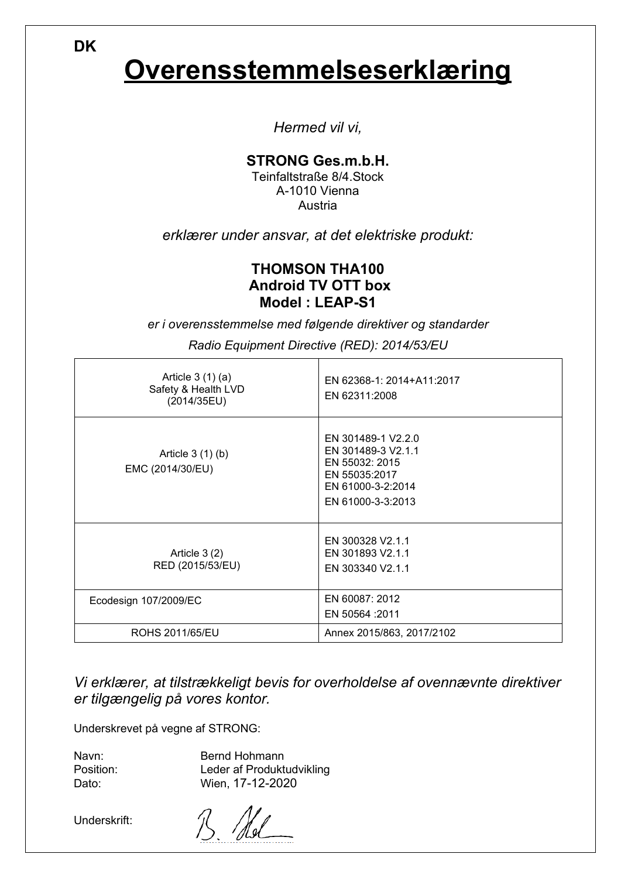**DK**

## **Overensstemmelseserklæring**

*Hermed vil vi,*

### **STRONG Ges.m.b.H.**

Teinfaltstraße 8/4.Stock A-1010 Vienna Austria

*erklærer under ansvar, at det elektriske produkt:*

### **THOMSON THA100 Android TV OTT box Model : LEAP-S1**

*er i overensstemmelse med følgende direktiver og standarder*

*Radio Equipment Directive (RED): 2014/53/EU*

| Article $3(1)(a)$<br>Safety & Health LVD<br>(2014/35EU) | EN 62368-1: 2014+A11:2017<br>EN 62311:2008                                                                            |
|---------------------------------------------------------|-----------------------------------------------------------------------------------------------------------------------|
| Article $3(1)(b)$<br>EMC (2014/30/EU)                   | EN 301489-1 V2.2.0<br>EN 301489-3 V2.1.1<br>EN 55032: 2015<br>EN 55035:2017<br>EN 61000-3-2:2014<br>EN 61000-3-3:2013 |
| Article $3(2)$<br>RED (2015/53/EU)                      | EN 300328 V2.1.1<br>EN 301893 V2.1.1<br>EN 303340 V2.1.1                                                              |
| Ecodesign 107/2009/EC                                   | EN 60087: 2012<br>EN 50564 : 2011                                                                                     |
| ROHS 2011/65/EU                                         | Annex 2015/863, 2017/2102                                                                                             |

*Vi erklærer, at tilstrækkeligt bevis for overholdelse af ovennævnte direktiver er tilgængelig på vores kontor.*

Underskrevet på vegne af STRONG:

Navn: Position: Dato:

Bernd Hohmann Leder af Produktudvikling Wien, 17-12-2020

Underskrift: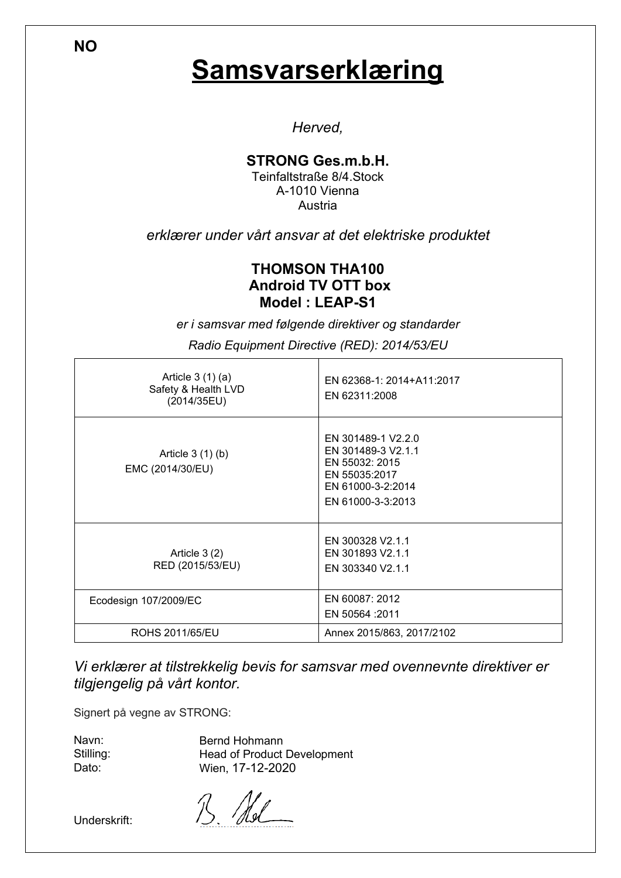### **Samsvarserklæring**

*Herved,*

### **STRONG Ges.m.b.H.**

Teinfaltstraße 8/4.Stock A-1010 Vienna Austria

*erklærer under vårt ansvar at det elektriske produktet*

### **THOMSON THA100 Android TV OTT box Model : LEAP-S1**

*er i samsvar med følgende direktiver og standarder*

*Radio Equipment Directive (RED): 2014/53/EU*

| Article $3(1)(a)$<br>Safety & Health LVD<br>(2014/35EU) | EN 62368-1: 2014+A11:2017<br>EN 62311:2008                                                                            |
|---------------------------------------------------------|-----------------------------------------------------------------------------------------------------------------------|
| Article $3(1)(b)$<br>EMC (2014/30/EU)                   | EN 301489-1 V2.2.0<br>EN 301489-3 V2.1.1<br>EN 55032: 2015<br>EN 55035:2017<br>EN 61000-3-2:2014<br>EN 61000-3-3:2013 |
| Article $3(2)$<br>RED (2015/53/EU)                      | EN 300328 V2.1.1<br>EN 301893 V2.1.1<br>EN 303340 V2.1.1                                                              |
| Ecodesign 107/2009/EC                                   | EN 60087: 2012<br>EN 50564 : 2011                                                                                     |
| ROHS 2011/65/EU                                         | Annex 2015/863, 2017/2102                                                                                             |

*Vi erklærer at tilstrekkelig bevis for samsvar med ovennevnte direktiver er tilgjengelig på vårt kontor.*

Signert på vegne av STRONG:

Navn: Stilling: Dato:

Bernd Hohmann Head of Product Development Wien, 17-12-2020

Underskrift:

**NO**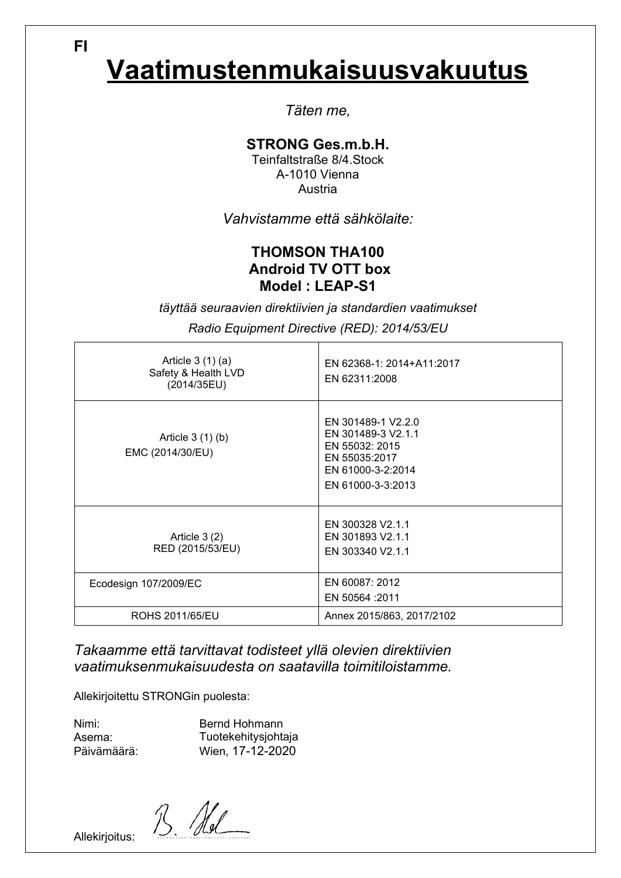# **Vaatimustenmukaisuusvakuutus**

*Täten me,*

### **STRONG Ges.m.b.H.**

Teinfaltstraße 8/4.Stock A-1010 Vienna Austria

*Vahvistamme että sähkölaite:*

### **THOMSON THA100 Android TV OTT box Model : LEAP-S1**

*täyttää seuraavien direktiivien ja standardien vaatimukset*

*Radio Equipment Directive (RED): 2014/53/EU*

| Article $3(1)(a)$<br>Safety & Health LVD<br>(2014/35EU) | EN 62368-1: 2014+A11:2017<br>EN 62311:2008                                                                            |
|---------------------------------------------------------|-----------------------------------------------------------------------------------------------------------------------|
| Article $3(1)(b)$<br>EMC (2014/30/EU)                   | EN 301489-1 V2.2.0<br>EN 301489-3 V2.1.1<br>EN 55032: 2015<br>EN 55035:2017<br>EN 61000-3-2:2014<br>EN 61000-3-3:2013 |
| Article $3(2)$<br>RED (2015/53/EU)                      | EN 300328 V2.1.1<br>EN 301893 V2.1.1<br>EN 303340 V2.1.1                                                              |
| Ecodesign 107/2009/EC                                   | EN 60087: 2012<br>EN 50564 : 2011                                                                                     |
| ROHS 2011/65/EU                                         | Annex 2015/863, 2017/2102                                                                                             |

*Takaamme että tarvittavat todisteet yllä olevien direktiivien vaatimuksenmukaisuudesta on saatavilla toimitiloistamme.*

Allekirjoitettu STRONGin puolesta:

Nimi: Asema: Päivämäärä: Bernd Hohmann Tuotekehitysjohtaja Wien, 17-12-2020

 $\mathcal{N}_{\text{a}}$ 

Allekirjoitus:

**FI**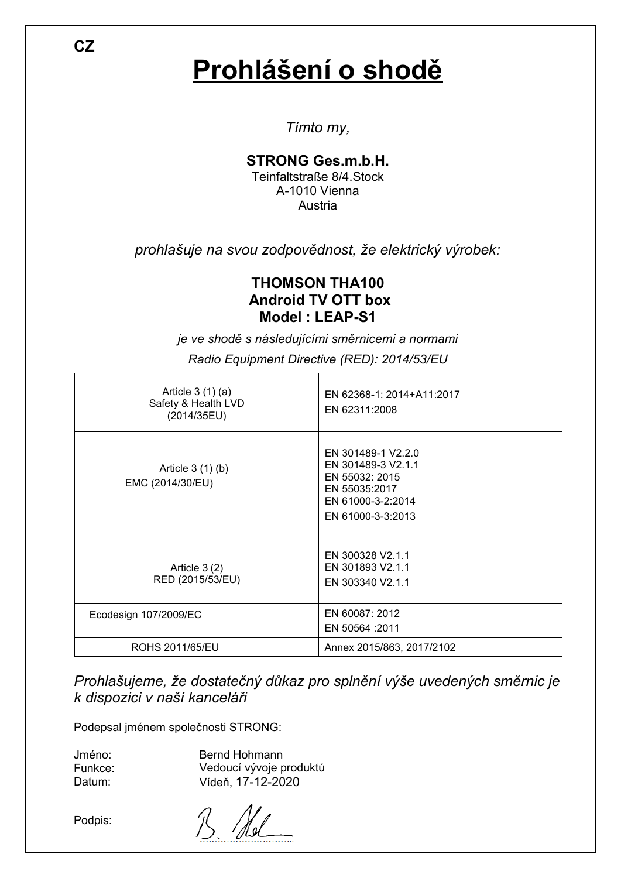# **Prohlášení o shodě**

*Tímto my,*

### **STRONG Ges.m.b.H.**

Teinfaltstraße 8/4.Stock A-1010 Vienna Austria

*prohlašuje na svou zodpovědnost, že elektrický výrobek:*

### **THOMSON THA100 Android TV OTT box Model : LEAP-S1**

*je ve shodě s následujícími směrnicemi a normami*

| Article $3(1)(a)$<br>Safety & Health LVD<br>(2014/35EU) | EN 62368-1: 2014+A11:2017<br>EN 62311:2008                                                                            |
|---------------------------------------------------------|-----------------------------------------------------------------------------------------------------------------------|
| Article $3(1)(b)$<br>EMC (2014/30/EU)                   | EN 301489-1 V2.2.0<br>EN 301489-3 V2.1.1<br>EN 55032: 2015<br>EN 55035:2017<br>EN 61000-3-2:2014<br>EN 61000-3-3:2013 |
| Article 3(2)<br>RED (2015/53/EU)                        | EN 300328 V2.1.1<br>EN 301893 V2.1.1<br>EN 303340 V2.1.1                                                              |
| Ecodesign 107/2009/EC                                   | EN 60087: 2012<br>EN 50564 : 2011                                                                                     |
| ROHS 2011/65/EU                                         | Annex 2015/863, 2017/2102                                                                                             |

*Radio Equipment Directive (RED): 2014/53/EU*

*Prohlašujeme, že dostatečný důkaz pro splnění výše uvedených směrnic je k dispozici v naší kanceláři*

Podepsal jménem společnosti STRONG:

Jméno: Funkce: Datum: Bernd Hohmann Vedoucí vývoje produktů Vídeň, 17-12-2020

Podpis:

**CZ**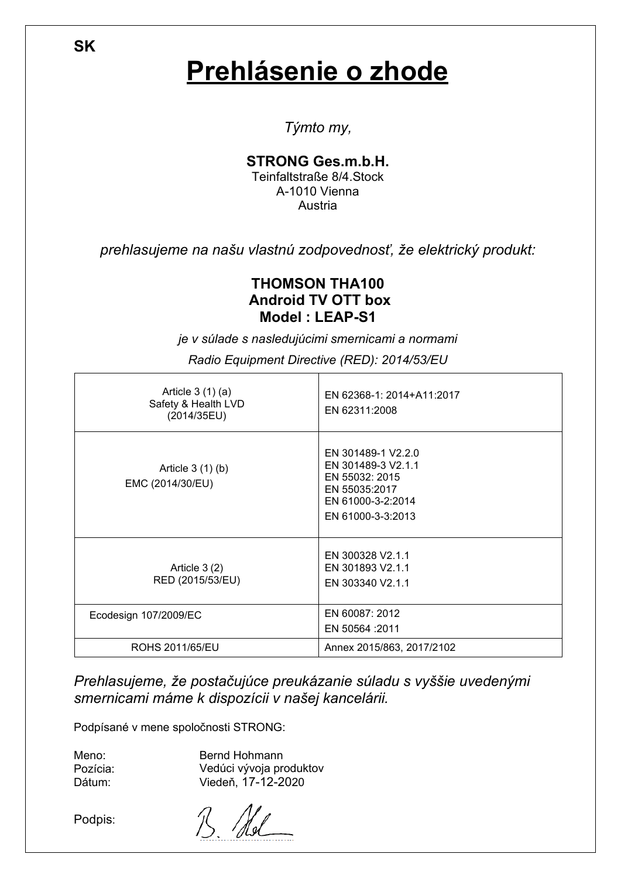## **Prehlásenie o zhode**

*Týmto my,*

### **STRONG Ges.m.b.H.**

Teinfaltstraße 8/4.Stock A-1010 Vienna **Austria** 

*prehlasujeme na našu vlastnú zodpovednosť, že elektrický produkt:*

### **THOMSON THA100 Android TV OTT box Model : LEAP-S1**

*je v súlade s nasledujúcimi smernicami a normami*

| Article $3(1)(a)$<br>Safety & Health LVD<br>(2014/35EU) | EN 62368-1: 2014+A11:2017<br>EN 62311:2008                                                                            |
|---------------------------------------------------------|-----------------------------------------------------------------------------------------------------------------------|
| Article $3(1)(b)$<br>EMC (2014/30/EU)                   | EN 301489-1 V2.2.0<br>EN 301489-3 V2.1.1<br>EN 55032: 2015<br>EN 55035:2017<br>EN 61000-3-2:2014<br>EN 61000-3-3:2013 |
| Article $3(2)$<br>RED (2015/53/EU)                      | EN 300328 V2.1.1<br>EN 301893 V2.1.1<br>EN 303340 V2.1.1                                                              |
| Ecodesign 107/2009/EC                                   | EN 60087: 2012<br>EN 50564 : 2011                                                                                     |
| ROHS 2011/65/EU                                         | Annex 2015/863, 2017/2102                                                                                             |

*Radio Equipment Directive (RED): 2014/53/EU*

*Prehlasujeme, že postačujúce preukázanie súladu s vyššie uvedenými smernicami máme k dispozícii v našej kancelárii.*

Podpísané v mene spoločnosti STRONG:

Meno: Pozícia: Dátum:

Bernd Hohmann Vedúci vývoja produktov Viedeň, 17-12-2020

Podpis:

**SK**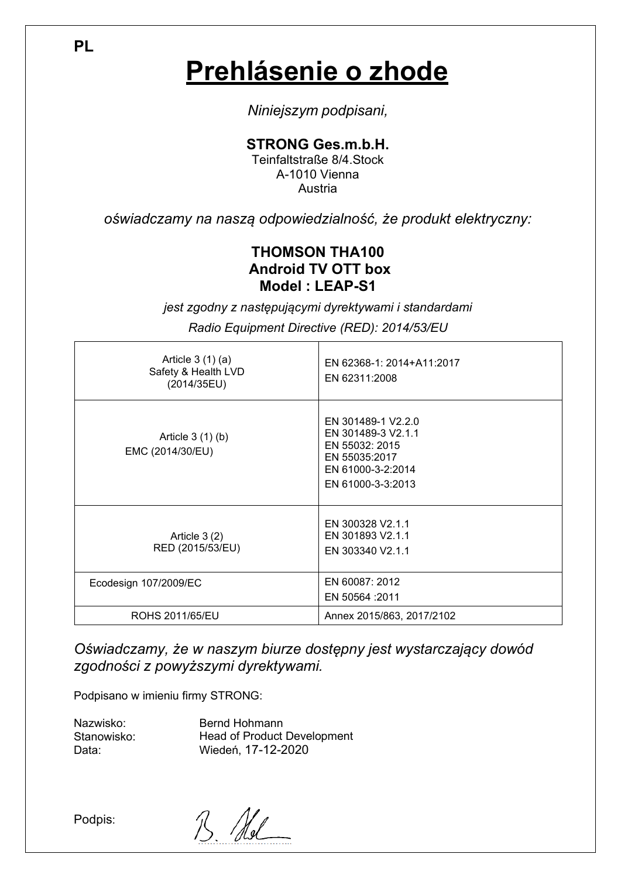**Prehlásenie o zhode**

*Niniejszym podpisani,*

**STRONG Ges.m.b.H.**

Teinfaltstraße 8/4.Stock A-1010 Vienna Austria

*oświadczamy na naszą odpowiedzialność, że produkt elektryczny:*

### **THOMSON THA100 Android TV OTT box Model : LEAP-S1**

*jest zgodny z następującymi dyrektywami i standardami*

*Radio Equipment Directive (RED): 2014/53/EU*

| Article $3(1)(a)$<br>Safety & Health LVD<br>(2014/35EU) | EN 62368-1: 2014+A11:2017<br>EN 62311:2008                                                                            |
|---------------------------------------------------------|-----------------------------------------------------------------------------------------------------------------------|
| Article 3 (1) (b)<br>EMC (2014/30/EU)                   | EN 301489-1 V2.2.0<br>EN 301489-3 V2.1.1<br>EN 55032: 2015<br>EN 55035:2017<br>EN 61000-3-2:2014<br>EN 61000-3-3:2013 |
| Article $3(2)$<br>RED (2015/53/EU)                      | EN 300328 V2.1.1<br>EN 301893 V2.1.1<br>EN 303340 V2.1.1                                                              |
| Ecodesign 107/2009/EC                                   | EN 60087: 2012<br>EN 50564 : 2011                                                                                     |
| ROHS 2011/65/EU                                         | Annex 2015/863, 2017/2102                                                                                             |

*Oświadczamy, że w naszym biurze dostępny jest wystarczający dowód zgodności z powyższymi dyrektywami.*

Podpisano w imieniu firmy STRONG:

Nazwisko: Stanowisko: Data:

Bernd Hohmann Head of Product Development Wiedeń, 17-12-2020

Podpis:

**PL**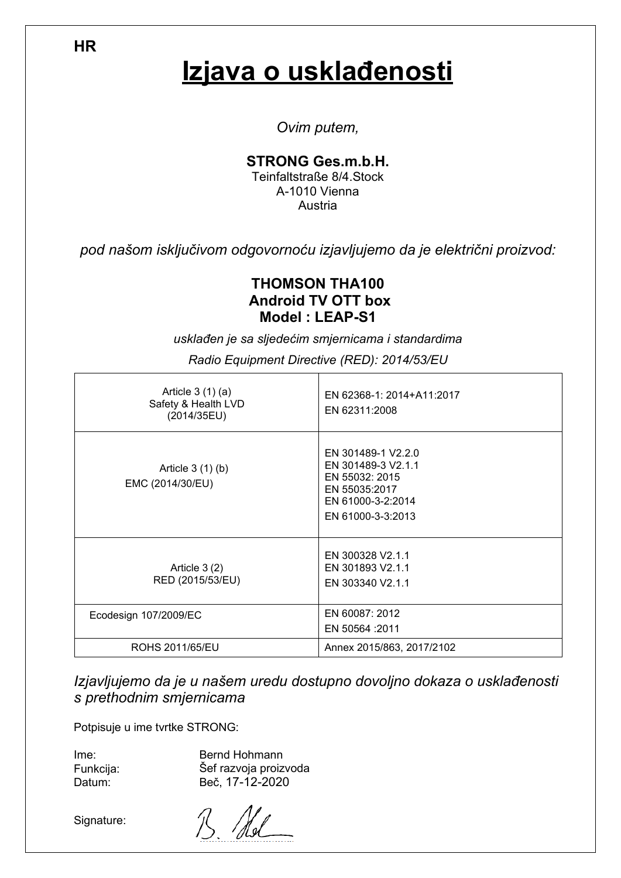## **Izjava o usklađenosti**

*Ovim putem,*

### **STRONG Ges.m.b.H.**

Teinfaltstraße 8/4.Stock A-1010 Vienna **Austria** 

*pod našom isključivom odgovornoću izjavljujemo da je električni proizvod:*

### **THOMSON THA100 Android TV OTT box Model : LEAP-S1**

*usklađen je sa sljedećim smjernicama i standardima*

| Article $3(1)(a)$<br>Safety & Health LVD<br>(2014/35EU) | EN 62368-1: 2014+A11:2017<br>EN 62311:2008                                                                            |
|---------------------------------------------------------|-----------------------------------------------------------------------------------------------------------------------|
| Article $3(1)(b)$<br>EMC (2014/30/EU)                   | EN 301489-1 V2.2.0<br>EN 301489-3 V2.1.1<br>EN 55032: 2015<br>EN 55035:2017<br>EN 61000-3-2:2014<br>EN 61000-3-3:2013 |
| Article $3(2)$<br>RED (2015/53/EU)                      | EN 300328 V2.1.1<br>EN 301893 V2.1.1<br>EN 303340 V2.1.1                                                              |
| Ecodesign 107/2009/EC                                   | EN 60087: 2012<br>EN 50564 : 2011                                                                                     |
| ROHS 2011/65/EU                                         | Annex 2015/863, 2017/2102                                                                                             |

*Radio Equipment Directive (RED): 2014/53/EU*

*Izjavljujemo da je u našem uredu dostupno dovoljno dokaza o usklađenosti s prethodnim smjernicama*

Potpisuje u ime tvrtke STRONG:

Ime: Funkcija: Datum:

Bernd Hohmann Šef razvoja proizvoda Beč, 17-12-2020

Signature:

**HR**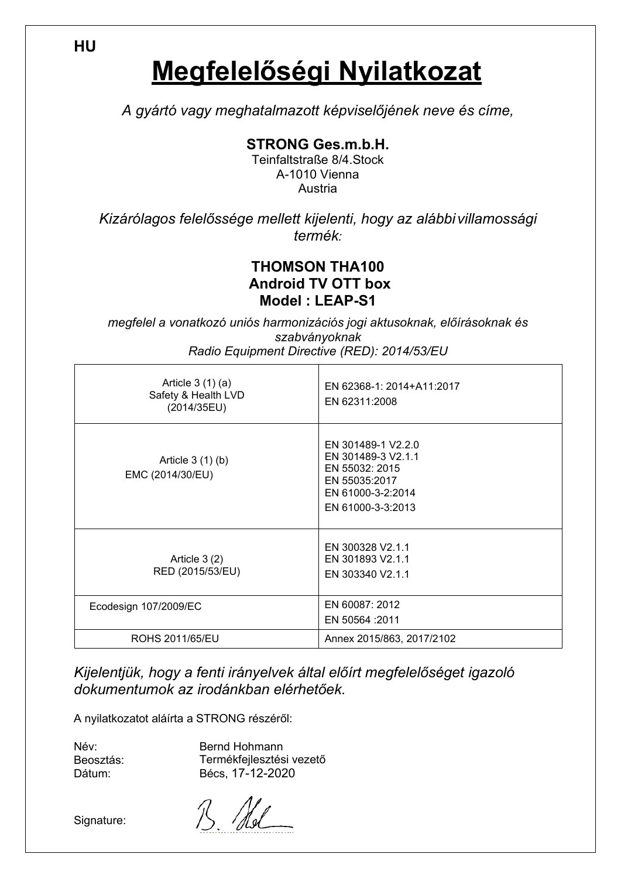**Megfelelőségi Nyilatkozat**

*A gyártó vagy meghatalmazott képviselőjének neve és címe,*

**STRONG Ges.m.b.H.**

Teinfaltstraße 8/4.Stock A-1010 Vienna Austria

*Kizárólagos felelőssége mellett kijelenti, hogy az alábbi villamossági termék:*

### **THOMSON THA100 Android TV OTT box Model : LEAP-S1**

*megfelel a vonatkozó uniós harmonizációs jogi aktusoknak, előírásoknak és szabványoknak Radio Equipment Directive (RED): 2014/53/EU*

| Article $3(1)(a)$<br>Safety & Health LVD<br>(2014/35EU) | EN 62368-1: 2014+A11:2017<br>EN 62311:2008                                                                            |
|---------------------------------------------------------|-----------------------------------------------------------------------------------------------------------------------|
| Article $3(1)(b)$<br>EMC (2014/30/EU)                   | EN 301489-1 V2.2.0<br>EN 301489-3 V2.1.1<br>EN 55032: 2015<br>EN 55035:2017<br>EN 61000-3-2:2014<br>EN 61000-3-3:2013 |
| Article $3(2)$<br>RED (2015/53/EU)                      | EN 300328 V2.1.1<br>EN 301893 V2.1.1<br>EN 303340 V2.1.1                                                              |
| Ecodesign 107/2009/EC                                   | EN 60087: 2012<br>EN 50564 : 2011                                                                                     |
| ROHS 2011/65/EU                                         | Annex 2015/863, 2017/2102                                                                                             |

*Kijelentjük, hogy a fenti irányelvek által előírt megfelelőséget igazoló dokumentumok az irodánkban elérhetőek.*

A nyilatkozatot aláírta a STRONG részéről:

Név: Beosztás: Dátum:

Bernd Hohmann Termékfejlesztési vezető Bécs, 17-12-2020

Signature:

Hel

**HU**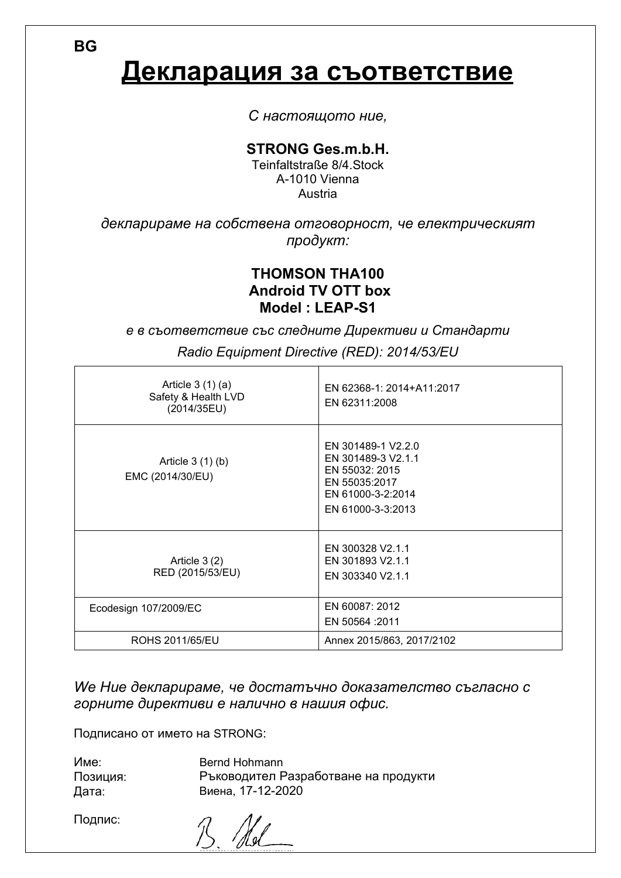**BG**

### **Декларация за съответствие**

*С настоящото ние,*

#### **STRONG Ges.m.b.H.**

Teinfaltstraße 8/4.Stock A-1010 Vienna Austria

*декларираме на собствена отговорност, че електрическият продукт:*

### **THOMSON THA100 Android TV OTT box Model : LEAP-S1**

*е в съответствие със следните Директиви и Стандарти Radio Equipment Directive (RED): 2014/53/EU*

| Article $3(1)(a)$<br>Safety & Health LVD<br>(2014/35EU) | EN 62368-1: 2014+A11:2017<br>EN 62311:2008                                                                            |
|---------------------------------------------------------|-----------------------------------------------------------------------------------------------------------------------|
| Article $3(1)(b)$<br>EMC (2014/30/EU)                   | EN 301489-1 V2.2.0<br>EN 301489-3 V2.1.1<br>EN 55032: 2015<br>EN 55035:2017<br>EN 61000-3-2:2014<br>EN 61000-3-3:2013 |
| Article $3(2)$<br>RED (2015/53/EU)                      | EN 300328 V2.1.1<br>EN 301893 V2.1.1<br>EN 303340 V2.1.1                                                              |
| Ecodesign 107/2009/EC                                   | EN 60087: 2012<br>EN 50564 : 2011                                                                                     |
| ROHS 2011/65/EU                                         | Annex 2015/863, 2017/2102                                                                                             |

*We Ние декларираме, че достатъчно доказателство съгласно с горните директиви е налично в нашия офис.*

Подписано от името на STRONG:

| Bernd Hohmann                        |
|--------------------------------------|
| Ръководител Разработване на продукти |
| Виена, 17-12-2020                    |
|                                      |

Подпис:

 $R$  Mal